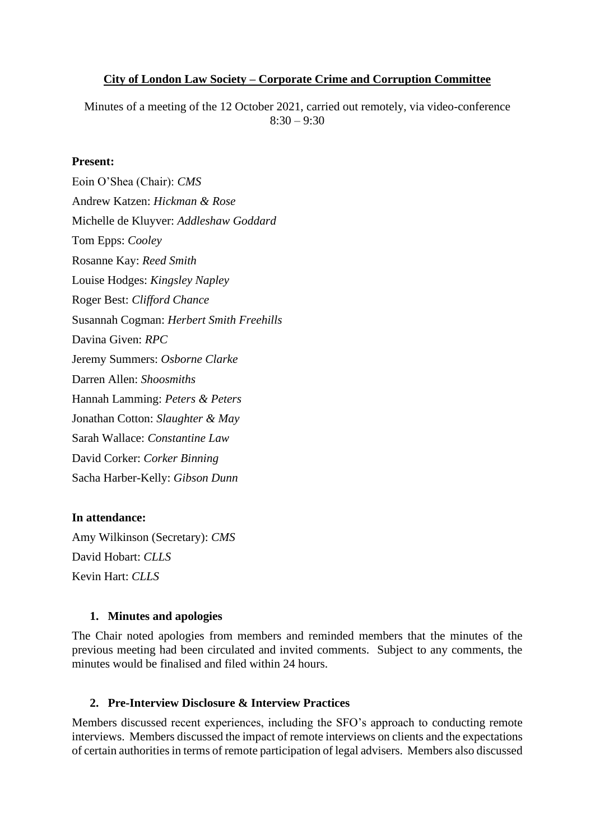## **City of London Law Society – Corporate Crime and Corruption Committee**

Minutes of a meeting of the 12 October 2021, carried out remotely, via video-conference  $8:30 - 9:30$ 

### **Present:**

Eoin O'Shea (Chair): *CMS* Andrew Katzen: *Hickman & Rose* Michelle de Kluyver: *Addleshaw Goddard* Tom Epps: *Cooley* Rosanne Kay: *Reed Smith* Louise Hodges: *Kingsley Napley* Roger Best: *Clifford Chance* Susannah Cogman: *Herbert Smith Freehills* Davina Given: *RPC* Jeremy Summers: *Osborne Clarke* Darren Allen: *Shoosmiths* Hannah Lamming: *Peters & Peters* Jonathan Cotton: *Slaughter & May* Sarah Wallace: *Constantine Law* David Corker: *Corker Binning* Sacha Harber-Kelly: *Gibson Dunn*

#### **In attendance:**

Amy Wilkinson (Secretary): *CMS* David Hobart: *CLLS* Kevin Hart: *CLLS*

#### **1. Minutes and apologies**

The Chair noted apologies from members and reminded members that the minutes of the previous meeting had been circulated and invited comments. Subject to any comments, the minutes would be finalised and filed within 24 hours.

#### **2. Pre-Interview Disclosure & Interview Practices**

Members discussed recent experiences, including the SFO's approach to conducting remote interviews. Members discussed the impact of remote interviews on clients and the expectations of certain authorities in terms of remote participation of legal advisers. Members also discussed